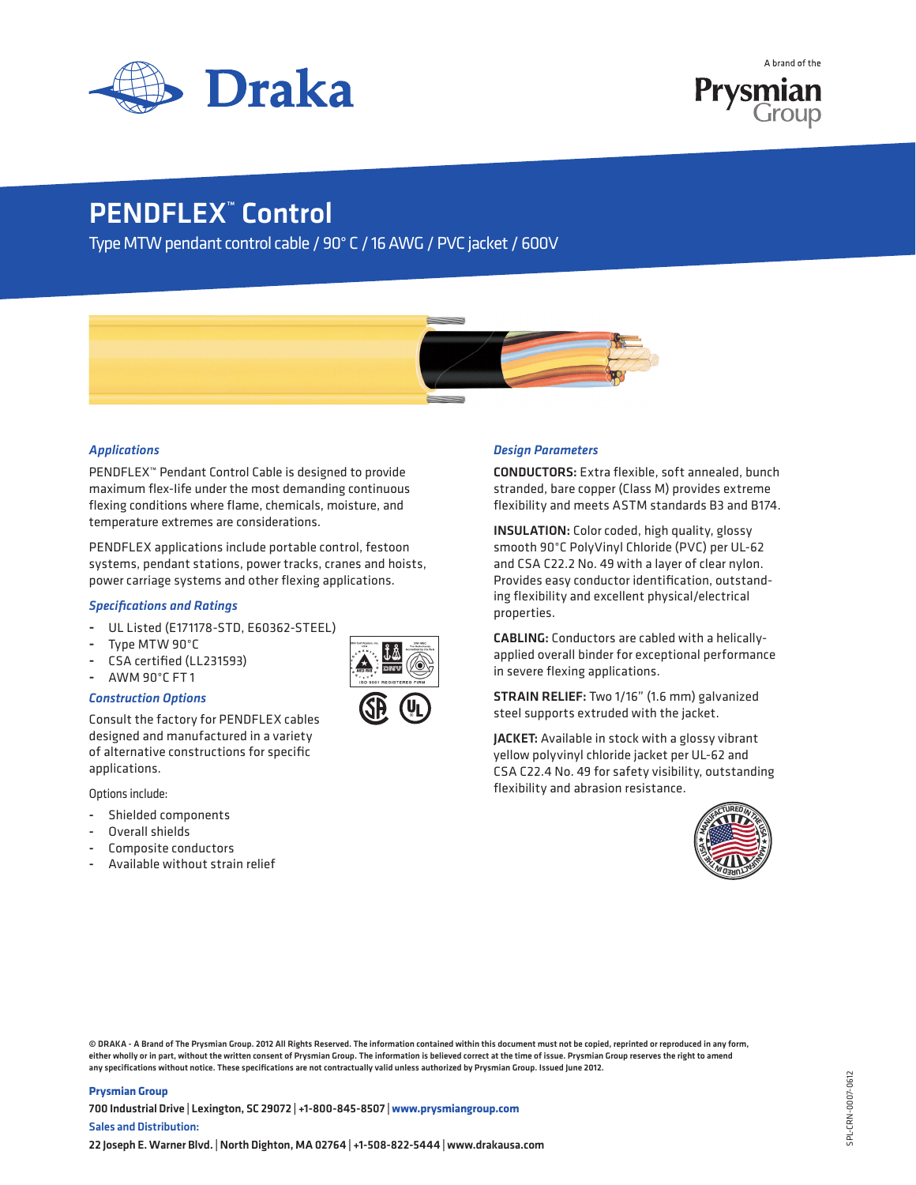



# PENDFLEX<sup>™</sup> Control

Type MTW pendant control cable / 90° C / 16 AWG / PVC jacket / 600V



## *Applications*

PENDFLEX™ Pendant Control Cable is designed to provide maximum flex-Iife under the most demanding continuous flexing conditions where flame, chemicals, moisture, and temperature extremes are considerations.

PENDFLEX applications include portable control, festoon systems, pendant stations, power tracks, cranes and hoists, power carriage systems and other flexing applications.

### *Specifications and Ratings*

- UL Listed (E171178-STD, E60362-STEEL)
- Type MTW 90°C
- CSA certified (LL231593)
- AWM 90°C FT1

## *Construction Options*

Consult the factory for PENDFLEX cables designed and manufactured in a variety of alternative constructions for specific applications.

Options include:

- Shielded components
- Overall shields
- Composite conductors
- Available without strain relief





## *Design Parameters*

CONDUCTORS: Extra flexible, soft annealed, bunch stranded, bare copper (Class M) provides extreme flexibility and meets ASTM standards B3 and B174.

INSULATION: Color coded, high quality, glossy smooth 90°C PolyVinyl Chloride (PVC) per UL-62 and CSA C22.2 No. 49 with a layer of clear nylon. Provides easy conductor identification, outstanding flexibility and excellent physical/electrical properties.

CABLING: Conductors are cabled with a helicallyapplied overall binder for exceptional performance in severe flexing applications.

STRAIN RELIEF: Two 1/16" (1.6 mm) galvanized steel supports extruded with the jacket.

JACKET: Available in stock with a glossy vibrant yellow polyvinyl chloride jacket per UL-62 and CSA C22.4 No. 49 for safety visibility, outstanding flexibility and abrasion resistance.



© DRAKA - A Brand of The Prysmian Group. 2012 All Rights Reserved. The information contained within this document must not be copied, reprinted or reproduced in any form, either wholly or in part, without the written consent of Prysmian Group. The information is believed correct at the time of issue. Prysmian Group reserves the right to amend any specifications without notice. These specifications are not contractually valid unless authorized by Prysmian Group. Issued June 2012.

#### **Prysmian Group**

700 Industrial Drive | Lexington, SC 29072 | +1-800-845-8507 | **www.prysmiangroup.com** Sales and Distribution: 22 Joseph E. Warner Blvd. | North Dighton, MA 02764 | +1-508-822-5444 | www.drakausa.com